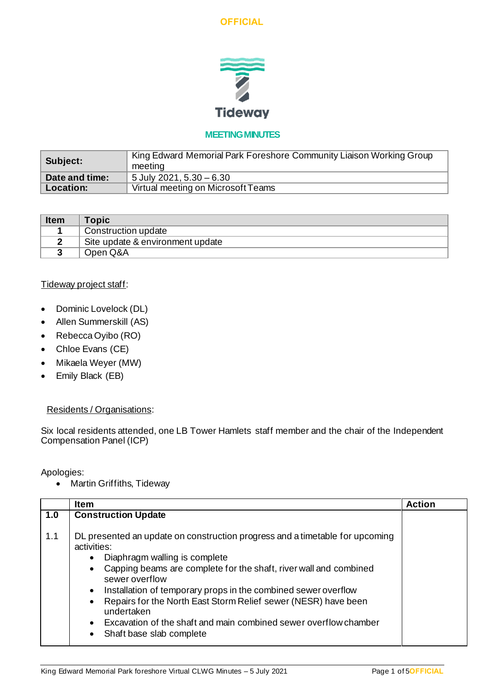



# **MEETING MINUTES**

| Subject:       | King Edward Memorial Park Foreshore Community Liaison Working Group<br>meeting |
|----------------|--------------------------------------------------------------------------------|
| Date and time: | 5 July 2021, $5.30 - 6.30$                                                     |
| Location:      | Virtual meeting on Microsoft Teams                                             |

| <b>Item</b> | <b>Topic</b>                     |
|-------------|----------------------------------|
|             | Construction update              |
|             | Site update & environment update |
|             | Open Q&A                         |

#### Tideway project staff:

- Dominic Lovelock (DL)
- Allen Summerskill (AS)
- Rebecca Oyibo (RO)
- Chloe Evans (CE)
- Mikaela Weyer (MW)
- Emily Black (EB)

#### Residents / Organisations:

Six local residents attended, one LB Tower Hamlets staff member and the chair of the Independent Compensation Panel (ICP)

Apologies:

• Martin Griffiths, Tideway

|     | <b>Item</b>                                                                                                                                                                                                                                                                                                                                                                                                                                                                        | <b>Action</b> |
|-----|------------------------------------------------------------------------------------------------------------------------------------------------------------------------------------------------------------------------------------------------------------------------------------------------------------------------------------------------------------------------------------------------------------------------------------------------------------------------------------|---------------|
| 1.0 | <b>Construction Update</b>                                                                                                                                                                                                                                                                                                                                                                                                                                                         |               |
| 1.1 | DL presented an update on construction progress and a timetable for upcoming<br>activities:<br>Diaphragm walling is complete<br>Capping beams are complete for the shaft, river wall and combined<br>sewer overflow<br>Installation of temporary props in the combined sewer overflow<br>$\bullet$<br>Repairs for the North East Storm Relief sewer (NESR) have been<br>undertaken<br>Excavation of the shaft and main combined sewer overflow chamber<br>Shaft base slab complete |               |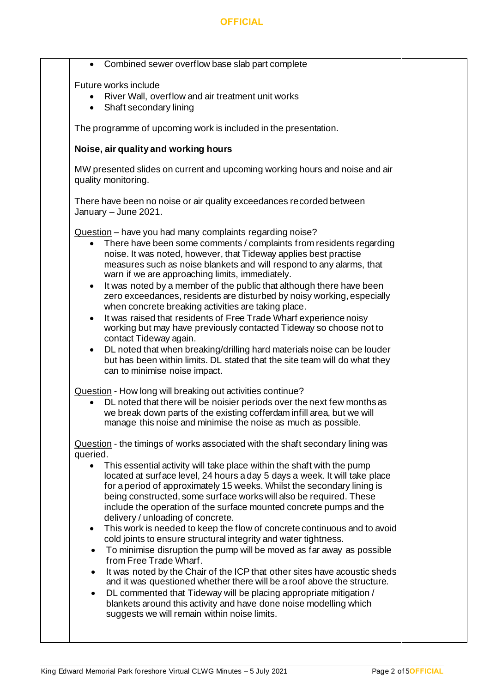### **OFFICIAL**

| Future works include<br>quality monitoring.<br>January - June 2021.<br>$\bullet$<br>$\bullet$<br>$\bullet$ | Combined sewer overflow base slab part complete<br>River Wall, overflow and air treatment unit works<br>• Shaft secondary lining<br>The programme of upcoming work is included in the presentation.<br>Noise, air quality and working hours<br>MW presented slides on current and upcoming working hours and noise and air<br>There have been no noise or air quality exceedances recorded between<br>Question - have you had many complaints regarding noise?<br>• There have been some comments / complaints from residents regarding<br>noise. It was noted, however, that Tideway applies best practise<br>measures such as noise blankets and will respond to any alarms, that<br>warn if we are approaching limits, immediately.<br>It was noted by a member of the public that although there have been<br>zero exceedances, residents are disturbed by noisy working, especially<br>when concrete breaking activities are taking place.<br>It was raised that residents of Free Trade Wharf experience noisy<br>working but may have previously contacted Tideway so choose not to<br>contact Tideway again.<br>DL noted that when breaking/drilling hard materials noise can be louder                                                                                                                                                                                       |
|------------------------------------------------------------------------------------------------------------|---------------------------------------------------------------------------------------------------------------------------------------------------------------------------------------------------------------------------------------------------------------------------------------------------------------------------------------------------------------------------------------------------------------------------------------------------------------------------------------------------------------------------------------------------------------------------------------------------------------------------------------------------------------------------------------------------------------------------------------------------------------------------------------------------------------------------------------------------------------------------------------------------------------------------------------------------------------------------------------------------------------------------------------------------------------------------------------------------------------------------------------------------------------------------------------------------------------------------------------------------------------------------------------------------------------------------------------------------------------------------------------|
|                                                                                                            |                                                                                                                                                                                                                                                                                                                                                                                                                                                                                                                                                                                                                                                                                                                                                                                                                                                                                                                                                                                                                                                                                                                                                                                                                                                                                                                                                                                       |
|                                                                                                            |                                                                                                                                                                                                                                                                                                                                                                                                                                                                                                                                                                                                                                                                                                                                                                                                                                                                                                                                                                                                                                                                                                                                                                                                                                                                                                                                                                                       |
|                                                                                                            |                                                                                                                                                                                                                                                                                                                                                                                                                                                                                                                                                                                                                                                                                                                                                                                                                                                                                                                                                                                                                                                                                                                                                                                                                                                                                                                                                                                       |
|                                                                                                            |                                                                                                                                                                                                                                                                                                                                                                                                                                                                                                                                                                                                                                                                                                                                                                                                                                                                                                                                                                                                                                                                                                                                                                                                                                                                                                                                                                                       |
|                                                                                                            |                                                                                                                                                                                                                                                                                                                                                                                                                                                                                                                                                                                                                                                                                                                                                                                                                                                                                                                                                                                                                                                                                                                                                                                                                                                                                                                                                                                       |
|                                                                                                            |                                                                                                                                                                                                                                                                                                                                                                                                                                                                                                                                                                                                                                                                                                                                                                                                                                                                                                                                                                                                                                                                                                                                                                                                                                                                                                                                                                                       |
| queried.<br>$\bullet$<br>$\bullet$<br>$\bullet$<br>$\bullet$<br>$\bullet$                                  | but has been within limits. DL stated that the site team will do what they<br>can to minimise noise impact.<br>Question - How long will breaking out activities continue?<br>DL noted that there will be noisier periods over the next few months as<br>we break down parts of the existing cofferdam infill area, but we will<br>manage this noise and minimise the noise as much as possible.<br>Question - the timings of works associated with the shaft secondary lining was<br>This essential activity will take place within the shaft with the pump<br>located at surface level, 24 hours a day 5 days a week. It will take place<br>for a period of approximately 15 weeks. Whilst the secondary lining is<br>being constructed, some surface works will also be required. These<br>include the operation of the surface mounted concrete pumps and the<br>delivery / unloading of concrete.<br>This work is needed to keep the flow of concrete continuous and to avoid<br>cold joints to ensure structural integrity and water tightness.<br>To minimise disruption the pump will be moved as far away as possible<br>from Free Trade Wharf.<br>It was noted by the Chair of the ICP that other sites have acoustic sheds<br>and it was questioned whether there will be a roof above the structure.<br>DL commented that Tideway will be placing appropriate mitigation / |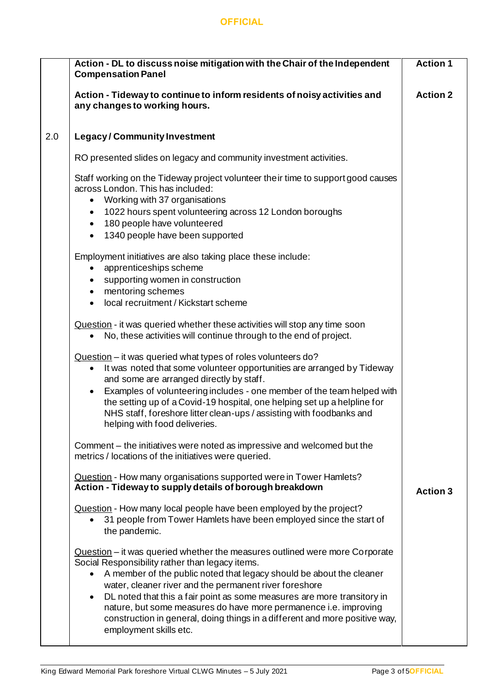### **OFFICIAL**

|     | Action - DL to discuss noise mitigation with the Chair of the Independent<br><b>Compensation Panel</b>                                                                                                                                                                                                                                                                                                                                                                                                                                             | <b>Action 1</b> |
|-----|----------------------------------------------------------------------------------------------------------------------------------------------------------------------------------------------------------------------------------------------------------------------------------------------------------------------------------------------------------------------------------------------------------------------------------------------------------------------------------------------------------------------------------------------------|-----------------|
|     | Action - Tideway to continue to inform residents of noisy activities and<br>any changes to working hours.                                                                                                                                                                                                                                                                                                                                                                                                                                          | <b>Action 2</b> |
| 2.0 | <b>Legacy/Community Investment</b>                                                                                                                                                                                                                                                                                                                                                                                                                                                                                                                 |                 |
|     | RO presented slides on legacy and community investment activities.                                                                                                                                                                                                                                                                                                                                                                                                                                                                                 |                 |
|     | Staff working on the Tideway project volunteer their time to support good causes<br>across London. This has included:<br>Working with 37 organisations<br>$\bullet$                                                                                                                                                                                                                                                                                                                                                                                |                 |
|     | 1022 hours spent volunteering across 12 London boroughs<br>٠<br>180 people have volunteered<br>$\bullet$                                                                                                                                                                                                                                                                                                                                                                                                                                           |                 |
|     | 1340 people have been supported<br>$\bullet$                                                                                                                                                                                                                                                                                                                                                                                                                                                                                                       |                 |
|     | Employment initiatives are also taking place these include:<br>apprenticeships scheme<br>supporting women in construction<br>$\bullet$                                                                                                                                                                                                                                                                                                                                                                                                             |                 |
|     | mentoring schemes<br>٠<br>local recruitment / Kickstart scheme                                                                                                                                                                                                                                                                                                                                                                                                                                                                                     |                 |
|     | Question - it was queried whether these activities will stop any time soon<br>No, these activities will continue through to the end of project.                                                                                                                                                                                                                                                                                                                                                                                                    |                 |
|     | Question - it was queried what types of roles volunteers do?<br>It was noted that some volunteer opportunities are arranged by Tideway<br>$\bullet$<br>and some are arranged directly by staff.<br>Examples of volunteering includes - one member of the team helped with<br>$\bullet$<br>the setting up of a Covid-19 hospital, one helping set up a helpline for<br>NHS staff, foreshore litter clean-ups / assisting with foodbanks and<br>helping with food deliveries.                                                                        |                 |
|     | Comment – the initiatives were noted as impressive and welcomed but the<br>metrics / locations of the initiatives were queried.                                                                                                                                                                                                                                                                                                                                                                                                                    |                 |
|     | Question - How many organisations supported were in Tower Hamlets?<br>Action - Tideway to supply details of borough breakdown                                                                                                                                                                                                                                                                                                                                                                                                                      | <b>Action 3</b> |
|     | Question - How many local people have been employed by the project?<br>31 people from Tower Hamlets have been employed since the start of<br>the pandemic.                                                                                                                                                                                                                                                                                                                                                                                         |                 |
|     | Question - it was queried whether the measures outlined were more Corporate<br>Social Responsibility rather than legacy items.<br>A member of the public noted that legacy should be about the cleaner<br>$\bullet$<br>water, cleaner river and the permanent river foreshore<br>DL noted that this a fair point as some measures are more transitory in<br>$\bullet$<br>nature, but some measures do have more permanence i.e. improving<br>construction in general, doing things in a different and more positive way,<br>employment skills etc. |                 |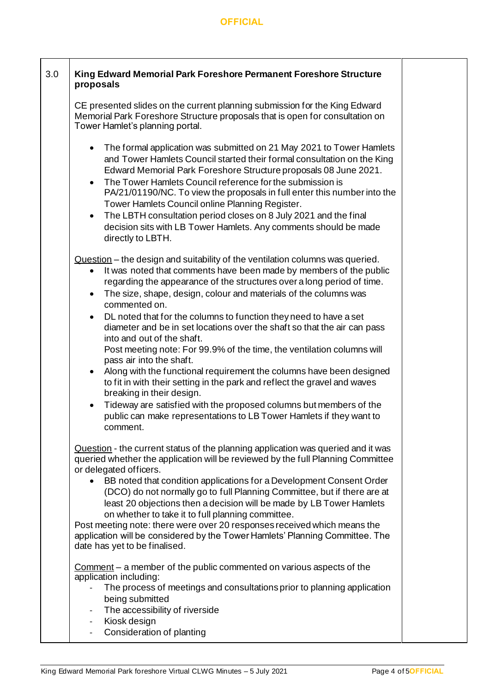$\Gamma$ 

 $\top$ 

| 3.0 | King Edward Memorial Park Foreshore Permanent Foreshore Structure<br>proposals                                                                                                                                                                                                                                                                                                                                                                                                                                                                                                                                                                                              |  |  |  |  |
|-----|-----------------------------------------------------------------------------------------------------------------------------------------------------------------------------------------------------------------------------------------------------------------------------------------------------------------------------------------------------------------------------------------------------------------------------------------------------------------------------------------------------------------------------------------------------------------------------------------------------------------------------------------------------------------------------|--|--|--|--|
|     | CE presented slides on the current planning submission for the King Edward<br>Memorial Park Foreshore Structure proposals that is open for consultation on<br>Tower Hamlet's planning portal.                                                                                                                                                                                                                                                                                                                                                                                                                                                                               |  |  |  |  |
|     | • The formal application was submitted on 21 May 2021 to Tower Hamlets<br>and Tower Hamlets Council started their formal consultation on the King<br>Edward Memorial Park Foreshore Structure proposals 08 June 2021.<br>The Tower Hamlets Council reference for the submission is<br>$\bullet$<br>PA/21/01190/NC. To view the proposals in full enter this number into the<br>Tower Hamlets Council online Planning Register.<br>The LBTH consultation period closes on 8 July 2021 and the final<br>$\bullet$<br>decision sits with LB Tower Hamlets. Any comments should be made<br>directly to LBTH.                                                                    |  |  |  |  |
|     | Question – the design and suitability of the ventilation columns was queried.<br>It was noted that comments have been made by members of the public<br>$\bullet$<br>regarding the appearance of the structures over a long period of time.<br>The size, shape, design, colour and materials of the columns was<br>$\bullet$<br>commented on.                                                                                                                                                                                                                                                                                                                                |  |  |  |  |
|     | DL noted that for the columns to function they need to have a set<br>$\bullet$<br>diameter and be in set locations over the shaft so that the air can pass<br>into and out of the shaft.<br>Post meeting note: For 99.9% of the time, the ventilation columns will<br>pass air into the shaft.<br>Along with the functional requirement the columns have been designed<br>$\bullet$<br>to fit in with their setting in the park and reflect the gravel and waves                                                                                                                                                                                                            |  |  |  |  |
|     | breaking in their design.<br>Tideway are satisfied with the proposed columns but members of the<br>$\bullet$<br>public can make representations to LB Tower Hamlets if they want to<br>comment.                                                                                                                                                                                                                                                                                                                                                                                                                                                                             |  |  |  |  |
|     | Question - the current status of the planning application was queried and it was<br>queried whether the application will be reviewed by the full Planning Committee<br>or delegated officers.<br>BB noted that condition applications for a Development Consent Order<br>(DCO) do not normally go to full Planning Committee, but if there are at<br>least 20 objections then a decision will be made by LB Tower Hamlets<br>on whether to take it to full planning committee.<br>Post meeting note: there were over 20 responses received which means the<br>application will be considered by the Tower Hamlets' Planning Committee. The<br>date has yet to be finalised. |  |  |  |  |
|     | Comment - a member of the public commented on various aspects of the<br>application including:<br>The process of meetings and consultations prior to planning application<br>being submitted<br>The accessibility of riverside<br>$\qquad \qquad -$<br>Kiosk design<br>$\blacksquare$<br>Consideration of planting                                                                                                                                                                                                                                                                                                                                                          |  |  |  |  |

Т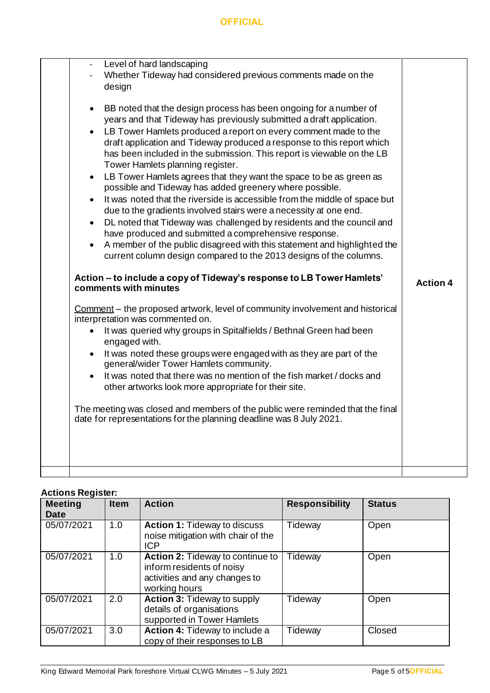| Level of hard landscaping<br>$\overline{\phantom{a}}$<br>Whether Tideway had considered previous comments made on the<br>design                                                                                                                                                                                                                                                                                                                                                                                                                                                                                                                                                                                                                                                                                                                                                                                                                                                                                                                                                                                                                                                                                                                                                                                                                                                                                                                                                                                                                                                                                                                                                                                                                                                                                           |                 |
|---------------------------------------------------------------------------------------------------------------------------------------------------------------------------------------------------------------------------------------------------------------------------------------------------------------------------------------------------------------------------------------------------------------------------------------------------------------------------------------------------------------------------------------------------------------------------------------------------------------------------------------------------------------------------------------------------------------------------------------------------------------------------------------------------------------------------------------------------------------------------------------------------------------------------------------------------------------------------------------------------------------------------------------------------------------------------------------------------------------------------------------------------------------------------------------------------------------------------------------------------------------------------------------------------------------------------------------------------------------------------------------------------------------------------------------------------------------------------------------------------------------------------------------------------------------------------------------------------------------------------------------------------------------------------------------------------------------------------------------------------------------------------------------------------------------------------|-----------------|
| BB noted that the design process has been ongoing for a number of<br>$\bullet$<br>years and that Tideway has previously submitted a draft application.<br>LB Tower Hamlets produced a report on every comment made to the<br>$\bullet$<br>draft application and Tideway produced a response to this report which<br>has been included in the submission. This report is viewable on the LB<br>Tower Hamlets planning register.<br>LB Tower Hamlets agrees that they want the space to be as green as<br>$\bullet$<br>possible and Tideway has added greenery where possible.<br>It was noted that the riverside is accessible from the middle of space but<br>$\bullet$<br>due to the gradients involved stairs were a necessity at one end.<br>DL noted that Tideway was challenged by residents and the council and<br>$\bullet$<br>have produced and submitted a comprehensive response.<br>A member of the public disagreed with this statement and highlighted the<br>$\bullet$<br>current column design compared to the 2013 designs of the columns.<br>Action - to include a copy of Tideway's response to LB Tower Hamlets'<br>comments with minutes<br>Comment - the proposed artwork, level of community involvement and historical<br>interpretation was commented on.<br>It was queried why groups in Spitalfields / Bethnal Green had been<br>$\bullet$<br>engaged with.<br>It was noted these groups were engaged with as they are part of the<br>$\bullet$<br>general/wider Tower Hamlets community.<br>It was noted that there was no mention of the fish market / docks and<br>$\bullet$<br>other artworks look more appropriate for their site.<br>The meeting was closed and members of the public were reminded that the final<br>date for representations for the planning deadline was 8 July 2021. | <b>Action 4</b> |

# **Actions Register:**

| <b>Meeting</b><br><b>Date</b> | <b>Item</b> | <b>Action</b>                                                                                                   | <b>Responsibility</b> | <b>Status</b> |
|-------------------------------|-------------|-----------------------------------------------------------------------------------------------------------------|-----------------------|---------------|
| 05/07/2021                    | 1.0         | <b>Action 1: Tideway to discuss</b><br>noise mitigation with chair of the<br><b>ICP</b>                         | Tideway               | Open          |
| 05/07/2021                    | 1.0         | Action 2: Tideway to continue to<br>inform residents of noisy<br>activities and any changes to<br>working hours | Tideway               | Open          |
| 05/07/2021                    | 2.0         | <b>Action 3: Tideway to supply</b><br>details of organisations<br>supported in Tower Hamlets                    | Tideway               | Open          |
| 05/07/2021                    | 3.0         | Action 4: Tideway to include a<br>copy of their responses to LB                                                 | Tideway               | Closed        |